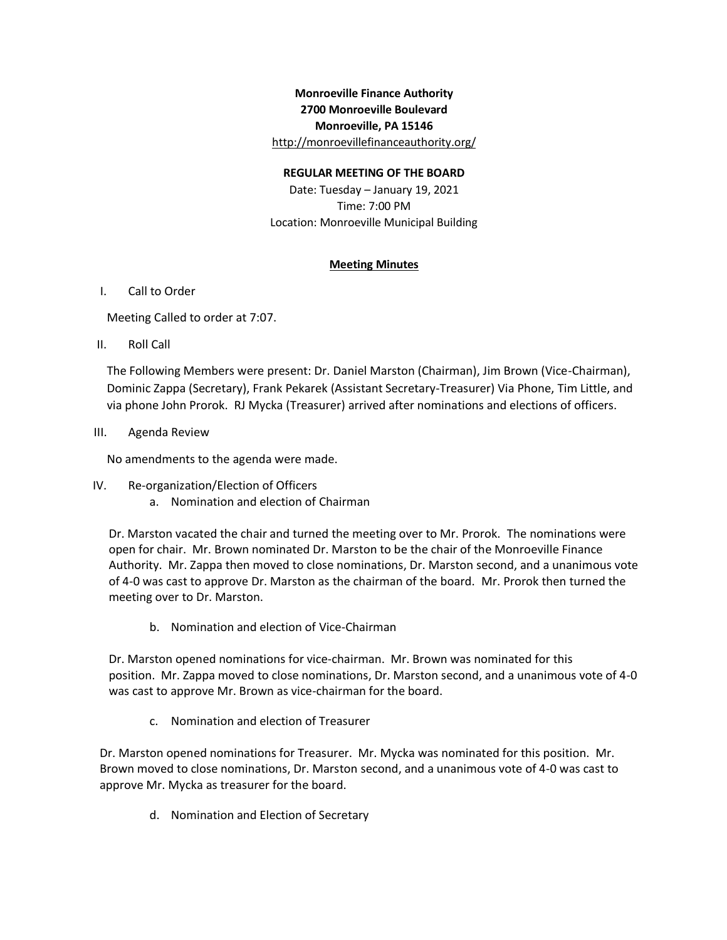## **Monroeville Finance Authority 2700 Monroeville Boulevard Monroeville, PA 15146** <http://monroevillefinanceauthority.org/>

## **REGULAR MEETING OF THE BOARD**

Date: Tuesday – January 19, 2021 Time: 7:00 PM Location: Monroeville Municipal Building

## **Meeting Minutes**

## I. Call to Order

Meeting Called to order at 7:07.

II. Roll Call

The Following Members were present: Dr. Daniel Marston (Chairman), Jim Brown (Vice-Chairman), Dominic Zappa (Secretary), Frank Pekarek (Assistant Secretary-Treasurer) Via Phone, Tim Little, and via phone John Prorok. RJ Mycka (Treasurer) arrived after nominations and elections of officers.

III. Agenda Review

No amendments to the agenda were made.

- IV. Re-organization/Election of Officers
	- a. Nomination and election of Chairman

Dr. Marston vacated the chair and turned the meeting over to Mr. Prorok. The nominations were open for chair. Mr. Brown nominated Dr. Marston to be the chair of the Monroeville Finance Authority. Mr. Zappa then moved to close nominations, Dr. Marston second, and a unanimous vote of 4-0 was cast to approve Dr. Marston as the chairman of the board. Mr. Prorok then turned the meeting over to Dr. Marston.

b. Nomination and election of Vice-Chairman

Dr. Marston opened nominations for vice-chairman. Mr. Brown was nominated for this position. Mr. Zappa moved to close nominations, Dr. Marston second, and a unanimous vote of 4-0 was cast to approve Mr. Brown as vice-chairman for the board.

c. Nomination and election of Treasurer

Dr. Marston opened nominations for Treasurer. Mr. Mycka was nominated for this position. Mr. Brown moved to close nominations, Dr. Marston second, and a unanimous vote of 4-0 was cast to approve Mr. Mycka as treasurer for the board.

d. Nomination and Election of Secretary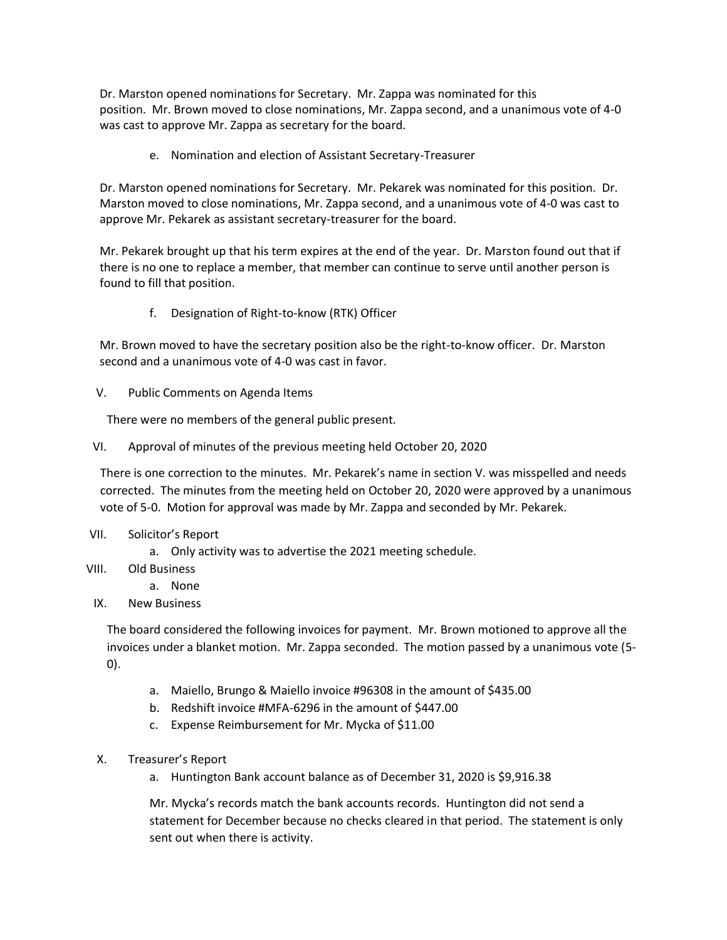Dr. Marston opened nominations for Secretary. Mr. Zappa was nominated for this position. Mr. Brown moved to close nominations, Mr. Zappa second, and a unanimous vote of 4-0 was cast to approve Mr. Zappa as secretary for the board.

e. Nomination and election of Assistant Secretary-Treasurer

Dr. Marston opened nominations for Secretary. Mr. Pekarek was nominated for this position. Dr. Marston moved to close nominations, Mr. Zappa second, and a unanimous vote of 4-0 was cast to approve Mr. Pekarek as assistant secretary-treasurer for the board.

Mr. Pekarek brought up that his term expires at the end of the year. Dr. Marston found out that if there is no one to replace a member, that member can continue to serve until another person is found to fill that position.

f. Designation of Right-to-know (RTK) Officer

Mr. Brown moved to have the secretary position also be the right-to-know officer. Dr. Marston second and a unanimous vote of 4-0 was cast in favor.

V. Public Comments on Agenda Items

There were no members of the general public present.

VI. Approval of minutes of the previous meeting held October 20, 2020

There is one correction to the minutes. Mr. Pekarek's name in section V. was misspelled and needs corrected. The minutes from the meeting held on October 20, 2020 were approved by a unanimous vote of 5-0. Motion for approval was made by Mr. Zappa and seconded by Mr. Pekarek.

- VII. Solicitor's Report
	- a. Only activity was to advertise the 2021 meeting schedule.
- VIII. Old Business
	- a. None
- IX. New Business

The board considered the following invoices for payment. Mr. Brown motioned to approve all the invoices under a blanket motion. Mr. Zappa seconded. The motion passed by a unanimous vote (5- 0).

- a. Maiello, Brungo & Maiello invoice #96308 in the amount of \$435.00
- b. Redshift invoice #MFA-6296 in the amount of \$447.00
- c. Expense Reimbursement for Mr. Mycka of \$11.00
- X. Treasurer's Report
	- a. Huntington Bank account balance as of December 31, 2020 is \$9,916.38

Mr. Mycka's records match the bank accounts records. Huntington did not send a statement for December because no checks cleared in that period. The statement is only sent out when there is activity.